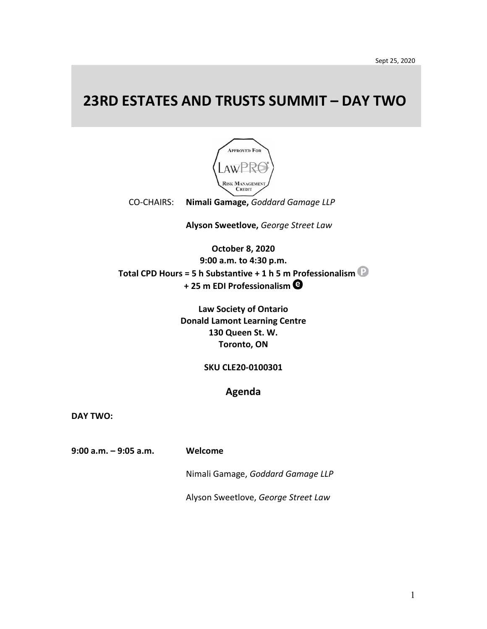## **23RD ESTATES AND TRUSTS SUMMIT – DAY TWO**



CO-CHAIRS: **Nimali Gamage,** *Goddard Gamage LLP*

**Alyson Sweetlove,** *George Street Law* 

**October 8, 2020 9:00 a.m. to 4:30 p.m. Total CPD Hours = 5 h Substantive + 1 h 5 m Professionalism + 25 m EDI Professionalism**

> **Law Society of Ontario Donald Lamont Learning Centre 130 Queen St. W. Toronto, ON**

> > **SKU CLE20-0100301**

**Agenda**

**DAY TWO:** 

**9:00 a.m. – 9:05 a.m. Welcome** 

Nimali Gamage, *Goddard Gamage LLP*

Alyson Sweetlove, *George Street Law*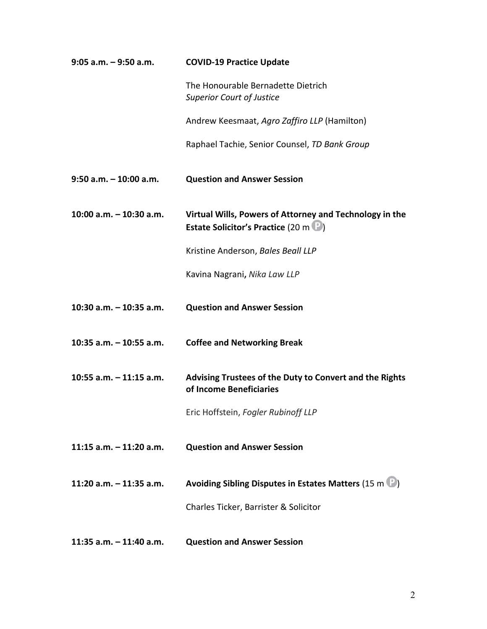| $9:05$ a.m. $-9:50$ a.m.  | <b>COVID-19 Practice Update</b>                                                                        |
|---------------------------|--------------------------------------------------------------------------------------------------------|
|                           | The Honourable Bernadette Dietrich<br><b>Superior Court of Justice</b>                                 |
|                           | Andrew Keesmaat, Agro Zaffiro LLP (Hamilton)                                                           |
|                           | Raphael Tachie, Senior Counsel, TD Bank Group                                                          |
| $9:50$ a.m. $-10:00$ a.m. | <b>Question and Answer Session</b>                                                                     |
| 10:00 $a.m. - 10:30 a.m.$ | Virtual Wills, Powers of Attorney and Technology in the<br><b>Estate Solicitor's Practice (20 m P)</b> |
|                           | Kristine Anderson, Bales Beall LLP                                                                     |
|                           | Kavina Nagrani, Nika Law LLP                                                                           |
| 10:30 a.m. - 10:35 a.m.   | <b>Question and Answer Session</b>                                                                     |
| 10:35 a.m. $-$ 10:55 a.m. | <b>Coffee and Networking Break</b>                                                                     |
| 10:55 a.m. $-$ 11:15 a.m. | Advising Trustees of the Duty to Convert and the Rights<br>of Income Beneficiaries                     |
|                           | Eric Hoffstein, Fogler Rubinoff LLP                                                                    |
| 11:15 $a.m. - 11:20 a.m.$ | <b>Question and Answer Session</b>                                                                     |
| 11:20 a.m. $-$ 11:35 a.m. | Avoiding Sibling Disputes in Estates Matters (15 m $\mathbb{P}_1$ )                                    |
|                           | Charles Ticker, Barrister & Solicitor                                                                  |
| 11:35 a.m. $-$ 11:40 a.m. | <b>Question and Answer Session</b>                                                                     |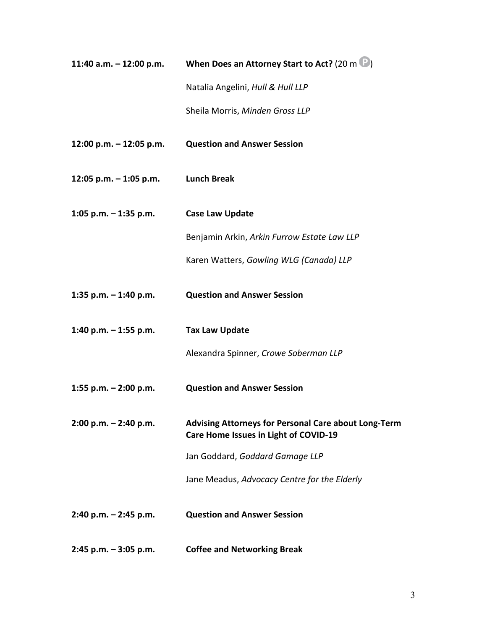| 11:40 a.m. $-$ 12:00 p.m. | When Does an Attorney Start to Act? (20 m $\mathbb{D}_1$ )                                           |
|---------------------------|------------------------------------------------------------------------------------------------------|
|                           | Natalia Angelini, Hull & Hull LLP                                                                    |
|                           | Sheila Morris, Minden Gross LLP                                                                      |
| 12:00 p.m. $-$ 12:05 p.m. | <b>Question and Answer Session</b>                                                                   |
| 12:05 p.m. $-$ 1:05 p.m.  | <b>Lunch Break</b>                                                                                   |
| 1:05 p.m. $-$ 1:35 p.m.   | <b>Case Law Update</b>                                                                               |
|                           | Benjamin Arkin, Arkin Furrow Estate Law LLP                                                          |
|                           | Karen Watters, Gowling WLG (Canada) LLP                                                              |
| 1:35 p.m. $-$ 1:40 p.m.   | <b>Question and Answer Session</b>                                                                   |
| 1:40 p.m. $-$ 1:55 p.m.   | <b>Tax Law Update</b>                                                                                |
|                           | Alexandra Spinner, Crowe Soberman LLP                                                                |
| 1:55 p.m. - 2:00 p.m.     | <b>Question and Answer Session</b>                                                                   |
| $2:00 p.m. - 2:40 p.m.$   | <b>Advising Attorneys for Personal Care about Long-Term</b><br>Care Home Issues in Light of COVID-19 |
|                           | Jan Goddard, Goddard Gamage LLP                                                                      |
|                           | Jane Meadus, Advocacy Centre for the Elderly                                                         |
| $2:40$ p.m. $- 2:45$ p.m. | <b>Question and Answer Session</b>                                                                   |
| $2:45$ p.m. $-3:05$ p.m.  | <b>Coffee and Networking Break</b>                                                                   |